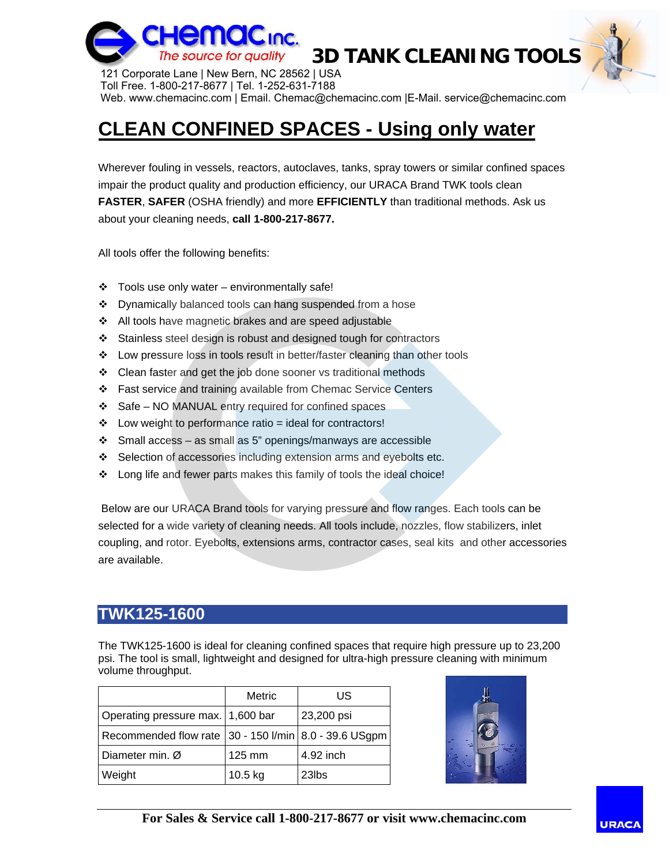

**3D TANK CLEANING TOOLS**

121 Corporate Lane | New Bern, NC 28562 | USA Toll Free. 1-800-217-8677 | Tel. 1-252-631-7188 Web. www.chemacinc.com | Email. Chemac@chemacinc.com |E-Mail. service@chemacinc.com

### **CLEAN CONFINED SPACES - Using only water**

Wherever fouling in vessels, reactors, autoclaves, tanks, spray towers or similar confined spaces impair the product quality and production efficiency, our URACA Brand TWK tools clean **FASTER**, **SAFER** (OSHA friendly) and more **EFFICIENTLY** than traditional methods. Ask us about your cleaning needs, **call 1-800-217-8677.**

All tools offer the following benefits:

- $\div$  Tools use only water environmentally safe!
- ❖ Dynamically balanced tools can hang suspended from a hose
- ❖ All tools have magnetic brakes and are speed adjustable
- Stainless steel design is robust and designed tough for contractors
- Low pressure loss in tools result in better/faster cleaning than other tools
- Clean faster and get the job done sooner vs traditional methods
- Fast service and training available from Chemac Service Centers
- $\div$  Safe NO MANUAL entry required for confined spaces
- $\div$  Low weight to performance ratio = ideal for contractors!
- $\div$  Small access as small as 5" openings/manways are accessible
- Selection of accessories including extension arms and eyebolts etc.
- \* Long life and fewer parts makes this family of tools the ideal choice!

 Below are our URACA Brand tools for varying pressure and flow ranges. Each tools can be selected for a wide variety of cleaning needs. All tools include, nozzles, flow stabilizers, inlet coupling, and rotor. Eyebolts, extensions arms, contractor cases, seal kits and other accessories are available.

#### **TWK125-1600**

The TWK125-1600 is ideal for cleaning confined spaces that require high pressure up to 23,200 psi. The tool is small, lightweight and designed for ultra-high pressure cleaning with minimum volume throughput.

|                                                       | Metric           | US                |
|-------------------------------------------------------|------------------|-------------------|
| Operating pressure max. 1,600 bar                     |                  | 23,200 psi        |
| Recommended flow rate 30 - 150 I/min 8.0 - 39.6 USgpm |                  |                   |
| Diameter min. Ø                                       | $125 \text{ mm}$ | 4.92 inch         |
| Weight                                                | $10.5$ kg        | 23 <sub>lbs</sub> |



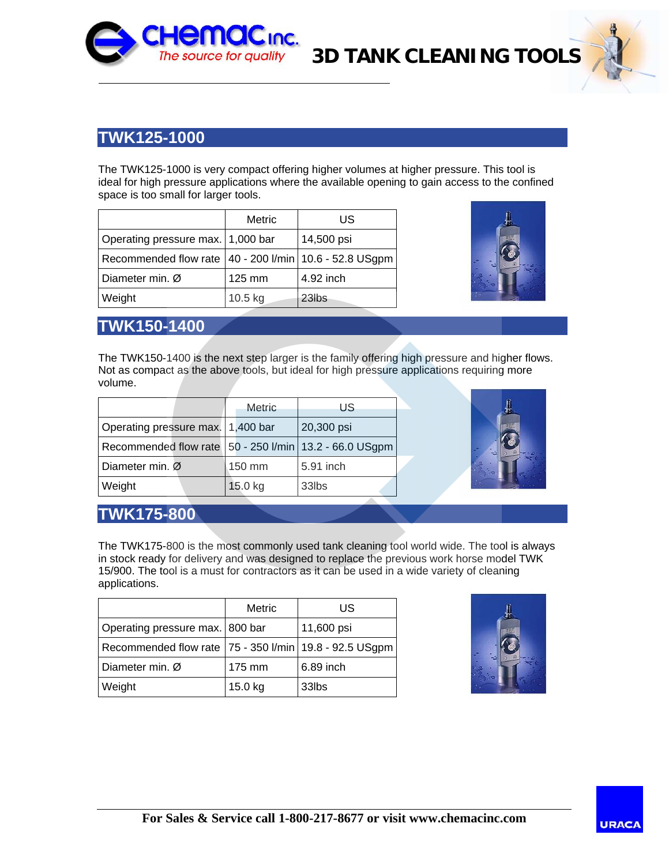

## **3D TANK CLEANING TOOLS**

#### **TWK125-1000**

The TWK125-1000 is very compact offering higher volumes at higher pressure. This tool is ideal for high pressure applications where the available opening to gain access to the confined space is too small for larger tools.

|                                                            | Metric  | US         |
|------------------------------------------------------------|---------|------------|
| Operating pressure max. 1,000 bar                          |         | 14,500 psi |
| Recommended flow rate   40 - 200 I/min   10.6 - 52.8 USgpm |         |            |
| Diameter min. Ø                                            | 125 mm  | 4.92 inch  |
| Weight                                                     | 10.5 kg | 23lbs      |



#### **TWK150-1400**

The TWK150-1400 is the next step larger is the family offering high pressure and higher flows. Not as compact as the above tools, but ideal for high pressure applications requiring more volume.

|                                                            | <b>Metric</b> | US         |
|------------------------------------------------------------|---------------|------------|
| Operating pressure max. 1,400 bar                          |               | 20,300 psi |
| Recommended flow rate   50 - 250 I/min   13.2 - 66.0 USgpm |               |            |
| Diameter min. Ø                                            | 150 mm        | 5.91 inch  |
| Weight                                                     | 15.0 kg       | 33lbs      |



#### **TWK175-800**

The TWK175-800 is the most commonly used tank cleaning tool world wide. The tool is always in stock ready for delivery and was designed to replace the previous work horse model TWK 15/900. The tool is a must for contractors as it can be used in a wide variety of cleaning applications.

|                                                            | Metric  | US         |
|------------------------------------------------------------|---------|------------|
| Operating pressure max. 800 bar                            |         | 11,600 psi |
| Recommended flow rate   75 - 350 I/min   19.8 - 92.5 USgpm |         |            |
| Diameter min. Ø                                            | 175 mm  | 6.89 inch  |
| Weight                                                     | 15.0 kg | 33lbs      |